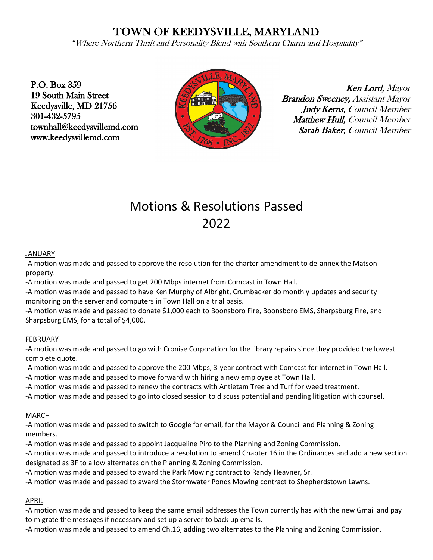# TOWN OF KEEDYSVILLE, MARYLAND

"Where Northern Thrift and Personality Blend with Southern Charm and Hospitality"

P.O. Box 359 19 South Main Street Keedysville, MD 21756 301-432-5795 townhall@keedysvillemd.com www.keedysvillemd.com



Ken Lord, Mayor Brandon Sweeney, Assistant Mayor Judy Kerns, Council Member Matthew Hull, Council Member Sarah Baker, Council Member

# Motions & Resolutions Passed 2022

#### JANUARY

-A motion was made and passed to approve the resolution for the charter amendment to de-annex the Matson property.

-A motion was made and passed to get 200 Mbps internet from Comcast in Town Hall.

-A motion was made and passed to have Ken Murphy of Albright, Crumbacker do monthly updates and security monitoring on the server and computers in Town Hall on a trial basis.

-A motion was made and passed to donate \$1,000 each to Boonsboro Fire, Boonsboro EMS, Sharpsburg Fire, and Sharpsburg EMS, for a total of \$4,000.

#### FEBRUARY

-A motion was made and passed to go with Cronise Corporation for the library repairs since they provided the lowest complete quote.

-A motion was made and passed to approve the 200 Mbps, 3-year contract with Comcast for internet in Town Hall. -A motion was made and passed to move forward with hiring a new employee at Town Hall.

-A motion was made and passed to renew the contracts with Antietam Tree and Turf for weed treatment.

-A motion was made and passed to go into closed session to discuss potential and pending litigation with counsel.

#### MARCH

-A motion was made and passed to switch to Google for email, for the Mayor & Council and Planning & Zoning members.

-A motion was made and passed to appoint Jacqueline Piro to the Planning and Zoning Commission.

-A motion was made and passed to introduce a resolution to amend Chapter 16 in the Ordinances and add a new section designated as 3F to allow alternates on the Planning & Zoning Commission.

-A motion was made and passed to award the Park Mowing contract to Randy Heavner, Sr.

-A motion was made and passed to award the Stormwater Ponds Mowing contract to Shepherdstown Lawns.

## APRIL

-A motion was made and passed to keep the same email addresses the Town currently has with the new Gmail and pay to migrate the messages if necessary and set up a server to back up emails.

-A motion was made and passed to amend Ch.16, adding two alternates to the Planning and Zoning Commission.